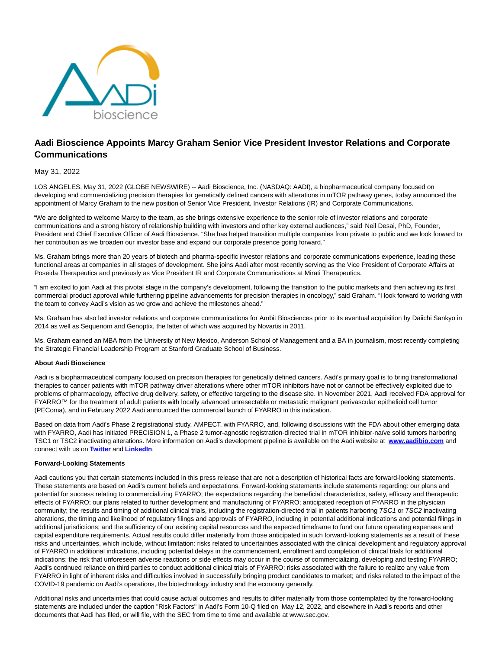

# **Aadi Bioscience Appoints Marcy Graham Senior Vice President Investor Relations and Corporate Communications**

# May 31, 2022

LOS ANGELES, May 31, 2022 (GLOBE NEWSWIRE) -- Aadi Bioscience, Inc. (NASDAQ: AADI), a biopharmaceutical company focused on developing and commercializing precision therapies for genetically defined cancers with alterations in mTOR pathway genes, today announced the appointment of Marcy Graham to the new position of Senior Vice President, Investor Relations (IR) and Corporate Communications.

"We are delighted to welcome Marcy to the team, as she brings extensive experience to the senior role of investor relations and corporate communications and a strong history of relationship building with investors and other key external audiences," said Neil Desai, PhD, Founder, President and Chief Executive Officer of Aadi Bioscience. "She has helped transition multiple companies from private to public and we look forward to her contribution as we broaden our investor base and expand our corporate presence going forward."

Ms. Graham brings more than 20 years of biotech and pharma-specific investor relations and corporate communications experience, leading these functional areas at companies in all stages of development. She joins Aadi after most recently serving as the Vice President of Corporate Affairs at Poseida Therapeutics and previously as Vice President IR and Corporate Communications at Mirati Therapeutics.

"I am excited to join Aadi at this pivotal stage in the company's development, following the transition to the public markets and then achieving its first commercial product approval while furthering pipeline advancements for precision therapies in oncology," said Graham. "I look forward to working with the team to convey Aadi's vision as we grow and achieve the milestones ahead."

Ms. Graham has also led investor relations and corporate communications for Ambit Biosciences prior to its eventual acquisition by Daiichi Sankyo in 2014 as well as Sequenom and Genoptix, the latter of which was acquired by Novartis in 2011.

Ms. Graham earned an MBA from the University of New Mexico, Anderson School of Management and a BA in journalism, most recently completing the Strategic Financial Leadership Program at Stanford Graduate School of Business.

### **About Aadi Bioscience**

Aadi is a biopharmaceutical company focused on precision therapies for genetically defined cancers. Aadi's primary goal is to bring transformational therapies to cancer patients with mTOR pathway driver alterations where other mTOR inhibitors have not or cannot be effectively exploited due to problems of pharmacology, effective drug delivery, safety, or effective targeting to the disease site. In November 2021, Aadi received FDA approval for FYARRO™ for the treatment of adult patients with locally advanced unresectable or metastatic malignant perivascular epithelioid cell tumor (PEComa), and in February 2022 Aadi announced the commercial launch of FYARRO in this indication.

Based on data from Aadi's Phase 2 registrational study, AMPECT, with FYARRO, and, following discussions with the FDA about other emerging data with FYARRO, Aadi has initiated PRECISION 1, a Phase 2 tumor-agnostic registration-directed trial in mTOR inhibitor-naïve solid tumors harboring TSC1 or TSC2 inactivating alterations. More information on Aadi's development pipeline is available on the Aadi website at **[www.aadibio.com](https://www.globenewswire.com/Tracker?data=EXzEdDlBi0YHIW1WN8t8c5ZMrDvClrONBjVBWJ3zavwKosaC0OJz8Zb1mg_FDNC1f7H5KalnTFv8TEH2Bq4AeQ==)** and connect with us on **[Twitter](https://www.globenewswire.com/Tracker?data=soc0noTyQj0n4PRIHre97to9YnldNeXGY048xxg0NrhdEQ8aQwoE1ZtR4SUQctpznjFsaJ8BKEVEmL8zjgv2NQ==)** and **[LinkedIn](https://www.globenewswire.com/Tracker?data=1Y3OvFybbtJyguJeWqW4NqYMdvAajuVNM3stV9QX42RG0eJzkgfsWJdvNq9CU-_8kbXh_u6TZLmAGXUBO4myKPDciKR5OcyROqevKBE0Iw1sAqun561vDvdipt64JejF)**.

# **Forward-Looking Statements**

Aadi cautions you that certain statements included in this press release that are not a description of historical facts are forward-looking statements. These statements are based on Aadi's current beliefs and expectations. Forward-looking statements include statements regarding: our plans and potential for success relating to commercializing FYARRO; the expectations regarding the beneficial characteristics, safety, efficacy and therapeutic effects of FYARRO; our plans related to further development and manufacturing of FYARRO; anticipated reception of FYARRO in the physician community; the results and timing of additional clinical trials, including the registration-directed trial in patients harboring TSC1 or TSC2 inactivating alterations, the timing and likelihood of regulatory filings and approvals of FYARRO, including in potential additional indications and potential filings in additional jurisdictions; and the sufficiency of our existing capital resources and the expected timeframe to fund our future operating expenses and capital expenditure requirements. Actual results could differ materially from those anticipated in such forward-looking statements as a result of these risks and uncertainties, which include, without limitation: risks related to uncertainties associated with the clinical development and regulatory approval of FYARRO in additional indications, including potential delays in the commencement, enrollment and completion of clinical trials for additional indications; the risk that unforeseen adverse reactions or side effects may occur in the course of commercializing, developing and testing FYARRO; Aadi's continued reliance on third parties to conduct additional clinical trials of FYARRO; risks associated with the failure to realize any value from FYARRO in light of inherent risks and difficulties involved in successfully bringing product candidates to market; and risks related to the impact of the COVID-19 pandemic on Aadi's operations, the biotechnology industry and the economy generally.

Additional risks and uncertainties that could cause actual outcomes and results to differ materially from those contemplated by the forward-looking statements are included under the caption "Risk Factors" in Aadi's Form 10-Q filed on May 12, 2022, and elsewhere in Aadi's reports and other documents that Aadi has filed, or will file, with the SEC from time to time and available at www.sec.gov.